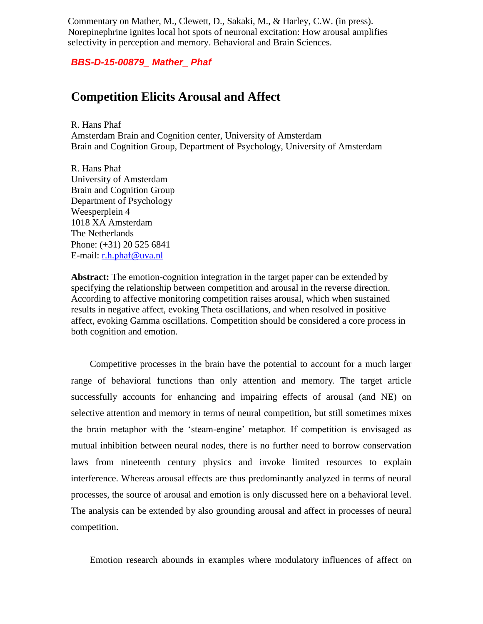Commentary on Mather, M., Clewett, D., Sakaki, M., & Harley, C.W. (in press). Norepinephrine ignites local hot spots of neuronal excitation: How arousal amplifies selectivity in perception and memory. Behavioral and Brain Sciences.

*BBS-D-15-00879\_ Mather\_ Phaf* 

## **Competition Elicits Arousal and Affect**

R. Hans Phaf Amsterdam Brain and Cognition center, University of Amsterdam Brain and Cognition Group, Department of Psychology, University of Amsterdam

R. Hans Phaf University of Amsterdam Brain and Cognition Group Department of Psychology Weesperplein 4 1018 XA Amsterdam The Netherlands Phone: (+31) 20 525 6841 E-mail: [r.h.phaf@uva.nl](mailto:r.h.phaf@uva.nl)

**Abstract:** The emotion-cognition integration in the target paper can be extended by specifying the relationship between competition and arousal in the reverse direction. According to affective monitoring competition raises arousal, which when sustained results in negative affect, evoking Theta oscillations, and when resolved in positive affect, evoking Gamma oscillations. Competition should be considered a core process in both cognition and emotion.

Competitive processes in the brain have the potential to account for a much larger range of behavioral functions than only attention and memory. The target article successfully accounts for enhancing and impairing effects of arousal (and NE) on selective attention and memory in terms of neural competition, but still sometimes mixes the brain metaphor with the 'steam-engine' metaphor. If competition is envisaged as mutual inhibition between neural nodes, there is no further need to borrow conservation laws from nineteenth century physics and invoke limited resources to explain interference. Whereas arousal effects are thus predominantly analyzed in terms of neural processes, the source of arousal and emotion is only discussed here on a behavioral level. The analysis can be extended by also grounding arousal and affect in processes of neural competition.

Emotion research abounds in examples where modulatory influences of affect on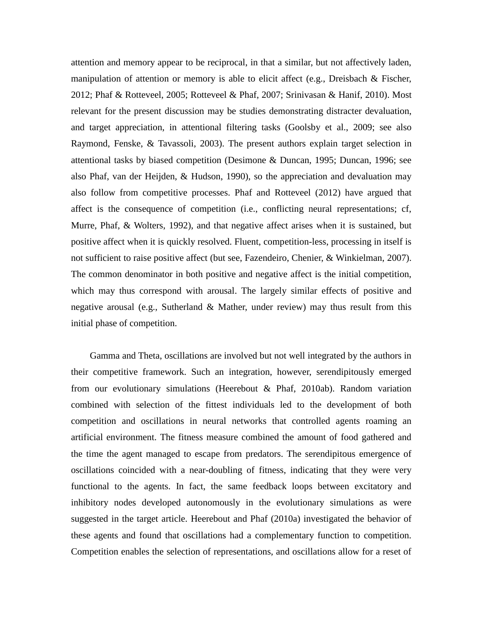attention and memory appear to be reciprocal, in that a similar, but not affectively laden, manipulation of attention or memory is able to elicit affect (e.g., Dreisbach & Fischer, 2012; Phaf & Rotteveel, 2005; Rotteveel & Phaf, 2007; Srinivasan & Hanif, 2010). Most relevant for the present discussion may be studies demonstrating distracter devaluation, and target appreciation, in attentional filtering tasks (Goolsby et al., 2009; see also Raymond, Fenske, & Tavassoli, 2003). The present authors explain target selection in attentional tasks by biased competition (Desimone & Duncan, 1995; Duncan, 1996; see also Phaf, van der Heijden, & Hudson, 1990), so the appreciation and devaluation may also follow from competitive processes. Phaf and Rotteveel (2012) have argued that affect is the consequence of competition (i.e., conflicting neural representations; cf, Murre, Phaf, & Wolters, 1992), and that negative affect arises when it is sustained, but positive affect when it is quickly resolved. Fluent, competition-less, processing in itself is not sufficient to raise positive affect (but see, Fazendeiro, Chenier, & Winkielman, 2007). The common denominator in both positive and negative affect is the initial competition, which may thus correspond with arousal. The largely similar effects of positive and negative arousal (e.g., Sutherland & Mather, under review) may thus result from this initial phase of competition.

Gamma and Theta, oscillations are involved but not well integrated by the authors in their competitive framework. Such an integration, however, serendipitously emerged from our evolutionary simulations (Heerebout & Phaf, 2010ab). Random variation combined with selection of the fittest individuals led to the development of both competition and oscillations in neural networks that controlled agents roaming an artificial environment. The fitness measure combined the amount of food gathered and the time the agent managed to escape from predators. The serendipitous emergence of oscillations coincided with a near-doubling of fitness, indicating that they were very functional to the agents. In fact, the same feedback loops between excitatory and inhibitory nodes developed autonomously in the evolutionary simulations as were suggested in the target article. Heerebout and Phaf (2010a) investigated the behavior of these agents and found that oscillations had a complementary function to competition. Competition enables the selection of representations, and oscillations allow for a reset of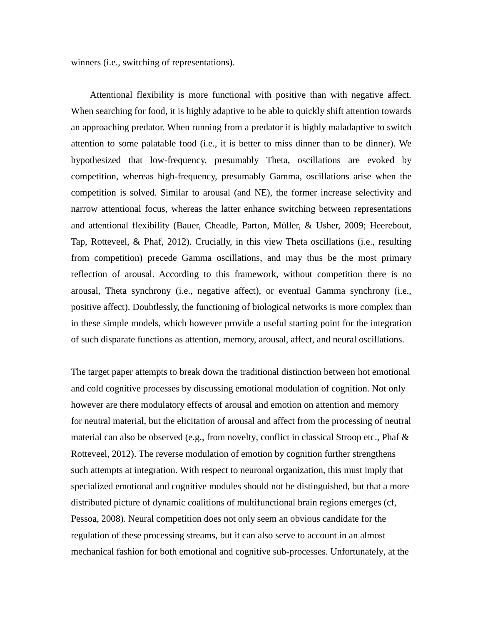winners (i.e., switching of representations).

Attentional flexibility is more functional with positive than with negative affect. When searching for food, it is highly adaptive to be able to quickly shift attention towards an approaching predator. When running from a predator it is highly maladaptive to switch attention to some palatable food (i.e., it is better to miss dinner than to be dinner). We hypothesized that low-frequency, presumably Theta, oscillations are evoked by competition, whereas high-frequency, presumably Gamma, oscillations arise when the competition is solved. Similar to arousal (and NE), the former increase selectivity and narrow attentional focus, whereas the latter enhance switching between representations and attentional flexibility (Bauer, Cheadle, Parton, Müller, & Usher, 2009; Heerebout, Tap, Rotteveel, & Phaf, 2012). Crucially, in this view Theta oscillations (i.e., resulting from competition) precede Gamma oscillations, and may thus be the most primary reflection of arousal. According to this framework, without competition there is no arousal, Theta synchrony (i.e., negative affect), or eventual Gamma synchrony (i.e., positive affect). Doubtlessly, the functioning of biological networks is more complex than in these simple models, which however provide a useful starting point for the integration of such disparate functions as attention, memory, arousal, affect, and neural oscillations.

The target paper attempts to break down the traditional distinction between hot emotional and cold cognitive processes by discussing emotional modulation of cognition. Not only however are there modulatory effects of arousal and emotion on attention and memory for neutral material, but the elicitation of arousal and affect from the processing of neutral material can also be observed (e.g., from novelty, conflict in classical Stroop etc., Phaf & Rotteveel, 2012). The reverse modulation of emotion by cognition further strengthens such attempts at integration. With respect to neuronal organization, this must imply that specialized emotional and cognitive modules should not be distinguished, but that a more distributed picture of dynamic coalitions of multifunctional brain regions emerges (cf, Pessoa, 2008). Neural competition does not only seem an obvious candidate for the regulation of these processing streams, but it can also serve to account in an almost mechanical fashion for both emotional and cognitive sub-processes. Unfortunately, at the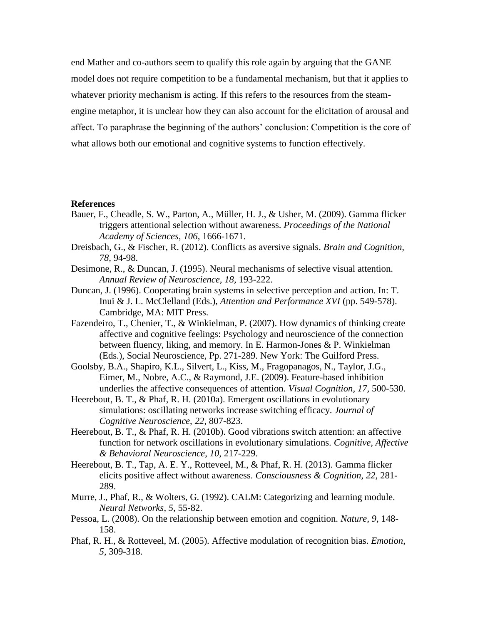end Mather and co-authors seem to qualify this role again by arguing that the GANE model does not require competition to be a fundamental mechanism, but that it applies to whatever priority mechanism is acting. If this refers to the resources from the steamengine metaphor, it is unclear how they can also account for the elicitation of arousal and affect. To paraphrase the beginning of the authors' conclusion: Competition is the core of what allows both our emotional and cognitive systems to function effectively.

## **References**

- Bauer, F., Cheadle, S. W., Parton, A., Müller, H. J., & Usher, M. (2009). Gamma flicker triggers attentional selection without awareness. *Proceedings of the National Academy of Sciences*, *106*, 1666-1671.
- Dreisbach, G., & Fischer, R. (2012). Conflicts as aversive signals. *Brain and Cognition, 78,* 94-98.
- Desimone, R., & Duncan, J. (1995). Neural mechanisms of selective visual attention. *Annual Review of Neuroscience, 18,* 193-222.
- Duncan, J. (1996). Cooperating brain systems in selective perception and action. In: T. Inui & J. L. McClelland (Eds.), *Attention and Performance XVI* (pp. 549-578). Cambridge, MA: MIT Press.
- Fazendeiro, T., Chenier, T., & Winkielman, P. (2007). How dynamics of thinking create affective and cognitive feelings: Psychology and neuroscience of the connection between fluency, liking, and memory. In E. Harmon-Jones & P. Winkielman (Eds.), Social Neuroscience, Pp. 271-289. New York: The Guilford Press.
- Goolsby, B.A., Shapiro, K.L., Silvert, L., Kiss, M., Fragopanagos, N., Taylor, J.G., Eimer, M., Nobre, A.C., & Raymond, J.E. (2009). Feature-based inhibition underlies the affective consequences of attention. *Visual Cognition, 17,* 500-530.
- Heerebout, B. T., & Phaf, R. H. (2010a). Emergent oscillations in evolutionary simulations: oscillating networks increase switching efficacy. *Journal of Cognitive Neuroscience*, *22*, 807-823.
- Heerebout, B. T., & Phaf, R. H. (2010b). Good vibrations switch attention: an affective function for network oscillations in evolutionary simulations. *Cognitive, Affective & Behavioral Neuroscience*, *10*, 217-229.
- Heerebout, B. T., Tap, A. E. Y., Rotteveel, M., & Phaf, R. H. (2013). Gamma flicker elicits positive affect without awareness. *Consciousness & Cognition, 22,* 281- 289.
- Murre, J., Phaf, R., & Wolters, G. (1992). CALM: Categorizing and learning module. *Neural Networks*, *5*, 55-82.
- Pessoa, L. (2008). On the relationship between emotion and cognition. *Nature, 9*, 148- 158.
- Phaf, R. H., & Rotteveel, M. (2005). Affective modulation of recognition bias. *Emotion*, *5*, 309-318.